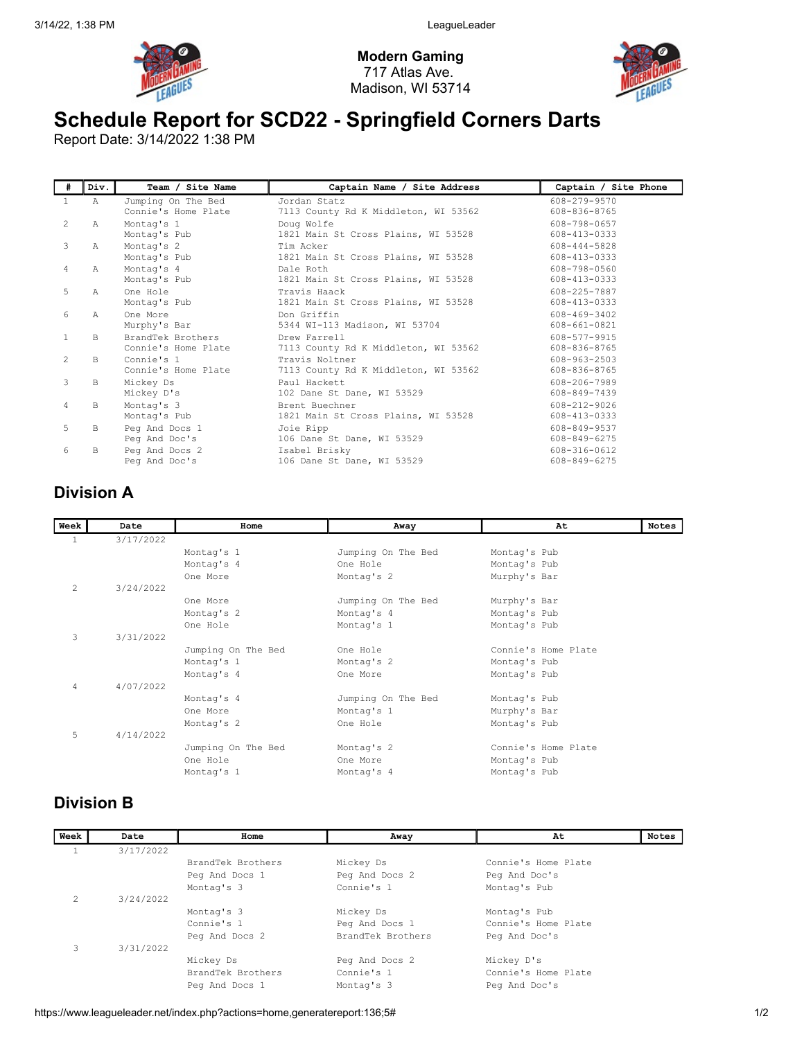

Modern Gaming 717 Atlas Ave. Madison, WI 53714



## Schedule Report for SCD22 - Springfield Corners Darts

Report Date: 3/14/2022 1:38 PM

| #              | Div.          | Team / Site Name                          | Captain Name / Site Address                            | Captain / Site Phone         |
|----------------|---------------|-------------------------------------------|--------------------------------------------------------|------------------------------|
| $\mathbf{1}$   | $\mathbb A$   | Jumping On The Bed<br>Connie's Home Plate | Jordan Statz<br>7113 County Rd K Middleton, WI 53562   | 608-279-9570<br>608-836-8765 |
| 2              | $\mathcal{A}$ | Montag's 1<br>Montag's Pub                | Doug Wolfe<br>1821 Main St Cross Plains, WI 53528      | 608-798-0657<br>608-413-0333 |
| 3              | A             | Montag's 2<br>Montag's Pub                | Tim Acker<br>1821 Main St Cross Plains, WI 53528       | 608-444-5828<br>608-413-0333 |
| 4              | A             | Montag's 4<br>Montag's Pub                | Dale Roth<br>1821 Main St Cross Plains, WI 53528       | 608-798-0560<br>608-413-0333 |
| 5              | $\mathcal{A}$ | One Hole<br>Montag's Pub                  | Travis Haack<br>1821 Main St Cross Plains, WI 53528    | 608-225-7887<br>608-413-0333 |
| 6              | $\mathcal{A}$ | One More<br>Murphy's Bar                  | Don Griffin<br>5344 WI-113 Madison, WI 53704           | 608-469-3402<br>608-661-0821 |
| $\mathbf{1}$   | B             | BrandTek Brothers<br>Connie's Home Plate  | Drew Farrell<br>7113 County Rd K Middleton, WI 53562   | 608-577-9915<br>608-836-8765 |
| $\mathcal{L}$  | B.            | Connie's 1<br>Connie's Home Plate         | Travis Noltner<br>7113 County Rd K Middleton, WI 53562 | 608-963-2503<br>608-836-8765 |
| 3              | B             | Mickey Ds<br>Mickey D's                   | Paul Hackett<br>102 Dane St Dane, WI 53529             | 608-206-7989<br>608-849-7439 |
| $\overline{4}$ | B             | Montag's 3<br>Montag's Pub                | Brent Buechner<br>1821 Main St Cross Plains, WI 53528  | 608-212-9026<br>608-413-0333 |
| 5              | B             | Peg And Docs 1<br>Peg And Doc's           | Joie Ripp<br>106 Dane St Dane, WI 53529                | 608-849-9537<br>608-849-6275 |
| 6              | <sub>B</sub>  | Peg And Docs 2<br>Peg And Doc's           | Isabel Brisky<br>106 Dane St Dane, WI 53529            | 608-316-0612<br>608-849-6275 |

## Division A

| Week           | Date      | Home               | Away               | At                  | Notes |
|----------------|-----------|--------------------|--------------------|---------------------|-------|
|                | 3/17/2022 |                    |                    |                     |       |
| $\mathbf{1}$   |           |                    |                    |                     |       |
|                |           | Montag's 1         | Jumping On The Bed | Montag's Pub        |       |
|                |           | Montag's 4         | One Hole           | Montag's Pub        |       |
|                |           | One More           | Montag's 2         | Murphy's Bar        |       |
| $\overline{2}$ | 3/24/2022 |                    |                    |                     |       |
|                |           | One More           | Jumping On The Bed | Murphy's Bar        |       |
|                |           | Montag's 2         | Montag's 4         | Montag's Pub        |       |
|                |           | One Hole           | Montag's 1         | Montag's Pub        |       |
| 3              | 3/31/2022 |                    |                    |                     |       |
|                |           | Jumping On The Bed | One Hole           | Connie's Home Plate |       |
|                |           | Montag's 1         | Montag's 2         | Montag's Pub        |       |
|                |           | Montag's 4         | One More           | Montag's Pub        |       |
| $\overline{4}$ | 4/07/2022 |                    |                    |                     |       |
|                |           | Montag's 4         | Jumping On The Bed | Montag's Pub        |       |
|                |           | One More           | Montag's 1         | Murphy's Bar        |       |
|                |           | Montag's 2         | One Hole           | Montag's Pub        |       |
| 5              | 4/14/2022 |                    |                    |                     |       |
|                |           | Jumping On The Bed | Montag's 2         | Connie's Home Plate |       |
|                |           | One Hole           | One More           | Montag's Pub        |       |
|                |           | Montag's 1         | Montag's 4         | Montag's Pub        |       |
|                |           |                    |                    |                     |       |

## Division B

| Week          | Date      | Home              | Away              | At                  | <b>Notes</b> |
|---------------|-----------|-------------------|-------------------|---------------------|--------------|
|               | 3/17/2022 |                   |                   |                     |              |
|               |           | BrandTek Brothers | Mickey Ds         | Connie's Home Plate |              |
|               |           | Peg And Docs 1    | Peg And Docs 2    | Peg And Doc's       |              |
|               |           | Montag's 3        | Connie's 1        | Montag's Pub        |              |
| $\mathcal{L}$ | 3/24/2022 |                   |                   |                     |              |
|               |           | Montag's 3        | Mickey Ds         | Montag's Pub        |              |
|               |           | Connie's 1        | Peg And Docs 1    | Connie's Home Plate |              |
|               |           | Peg And Docs 2    | BrandTek Brothers | Peg And Doc's       |              |
| 3             | 3/31/2022 |                   |                   |                     |              |
|               |           | Mickey Ds         | Peg And Docs 2    | Mickey D's          |              |
|               |           | BrandTek Brothers | Connie's 1        | Connie's Home Plate |              |
|               |           | Peg And Docs 1    | Montag's 3        | Peg And Doc's       |              |